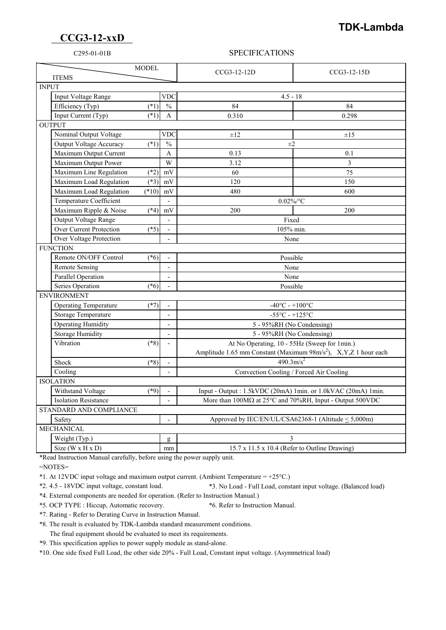## **CCG3-12-xxD**

## **TDK-Lambda**

## C295-01-01B SPECIFICATIONS

| <b>MODEL</b><br><b>ITEMS</b>             |                          | CCG3-12-12D                                                                                                                 | $CCG3-12-15D$ |
|------------------------------------------|--------------------------|-----------------------------------------------------------------------------------------------------------------------------|---------------|
| <b>INPUT</b>                             |                          |                                                                                                                             |               |
| Input Voltage Range                      | <b>VDC</b>               | $4.5 - 18$                                                                                                                  |               |
| Efficiency (Typ)<br>$(*1)$               | $\frac{0}{0}$            | 84                                                                                                                          | 84            |
| Input Current (Typ)<br>$(*1)$            | A                        | 0.310                                                                                                                       | 0.298         |
| <b>OUTPUT</b>                            |                          |                                                                                                                             |               |
| Nominal Output Voltage                   | <b>VDC</b>               | $\pm 12$                                                                                                                    | $\pm 15$      |
| <b>Output Voltage Accuracy</b><br>$(*1)$ | $\frac{0}{0}$            | $\pm 2$                                                                                                                     |               |
| Maximum Output Current                   | A                        | 0.13                                                                                                                        | 0.1           |
| Maximum Output Power                     | W                        | 3.12                                                                                                                        | 3             |
| Maximum Line Regulation<br>$(*2)$        | mV                       | 60                                                                                                                          | 75            |
| Maximum Load Regulation<br>$(*3)$        | mV                       | 120                                                                                                                         | 150           |
| $(*10)$<br>Maximum Load Regulation       | mV                       | 480                                                                                                                         | 600           |
| Temperature Coefficient                  |                          | $0.02\%$ /°C                                                                                                                |               |
| Maximum Ripple & Noise<br>$(*4)$         | mV                       | 200                                                                                                                         | 200           |
| Output Voltage Range                     | $\overline{\phantom{a}}$ | Fixed                                                                                                                       |               |
| Over Current Protection<br>$(*5)$        |                          | 105% min.                                                                                                                   |               |
| Over Voltage Protection                  |                          | None                                                                                                                        |               |
| <b>FUNCTION</b>                          |                          |                                                                                                                             |               |
| Remote ON/OFF Control<br>$(*6)$          |                          | Possible                                                                                                                    |               |
| <b>Remote Sensing</b>                    | $\overline{\phantom{a}}$ | None                                                                                                                        |               |
| Parallel Operation                       |                          | None                                                                                                                        |               |
| Series Operation<br>$(*6)$               |                          | Possible                                                                                                                    |               |
| <b>ENVIRONMENT</b>                       |                          |                                                                                                                             |               |
| <b>Operating Temperature</b><br>$(*7)$   |                          | $-40^{\circ}$ C - $+100^{\circ}$ C                                                                                          |               |
| <b>Storage Temperature</b>               | $\blacksquare$           | $-55^{\circ}$ C - $+125^{\circ}$ C                                                                                          |               |
| <b>Operating Humidity</b>                | $\overline{\phantom{a}}$ | 5 - 95%RH (No Condensing)                                                                                                   |               |
| <b>Storage Humidity</b>                  | $\overline{a}$           | 5 - 95%RH (No Condensing)                                                                                                   |               |
| Vibration<br>$(*8)$                      |                          | At No Operating, 10 - 55Hz (Sweep for 1min.)<br>Amplitude 1.65 mm Constant (Maximum 98m/s <sup>2</sup> ), X,Y,Z 1 hour each |               |
|                                          |                          |                                                                                                                             |               |
| Shock<br>$(*8)$                          |                          | $490.3 \text{m/s}^2$                                                                                                        |               |
| Cooling                                  | $\blacksquare$           | Convection Cooling / Forced Air Cooling                                                                                     |               |
| <b>ISOLATION</b>                         |                          |                                                                                                                             |               |
| Withstand Voltage<br>$(*9)$              | $\overline{a}$           | Input - Output : 1.5kVDC (20mA) 1min. or 1.0kVAC (20mA) 1min.                                                               |               |
| <b>Isolation Resistance</b>              |                          | More than 100MΩ at 25°C and 70%RH, Input - Output 500VDC                                                                    |               |
| STANDARD AND COMPLIANCE                  |                          |                                                                                                                             |               |
| Safety                                   |                          | Approved by IEC/EN/UL/CSA62368-1 (Altitude < 5,000m)                                                                        |               |
| <b>MECHANICAL</b>                        |                          |                                                                                                                             |               |
| Weight (Typ.)                            | g                        | 3                                                                                                                           |               |
| Size ( $W \times H \times D$ )           | mm                       | 15.7 x 11.5 x 10.4 (Refer to Outline Drawing)                                                                               |               |

\*Read Instruction Manual carefully, before using the power supply unit.

=NOTES=

\*1. At 12VDC input voltage and maximum output current. (Ambient Temperature = +25°C.)

\*2. 4.5 - 18VDC input voltage, constant load. \*3. No Load - Full Load, constant input voltage. (Balanced load)

\*4. External components are needed for operation. (Refer to Instruction Manual.)

\*5. OCP TYPE : Hiccup, Automatic recovery. \*6. Refer to Instruction Manual.

\*7. Rating - Refer to Derating Curve in Instruction Manual.

\*8. The result is evaluated by TDK-Lambda standard measurement conditions.

The final equipment should be evaluated to meet its requirements.

\*9. This specification applies to power supply module as stand-alone.

\*10. One side fixed Full Load, the other side 20% - Full Load, Constant input voltage. (Asymmetrical load)